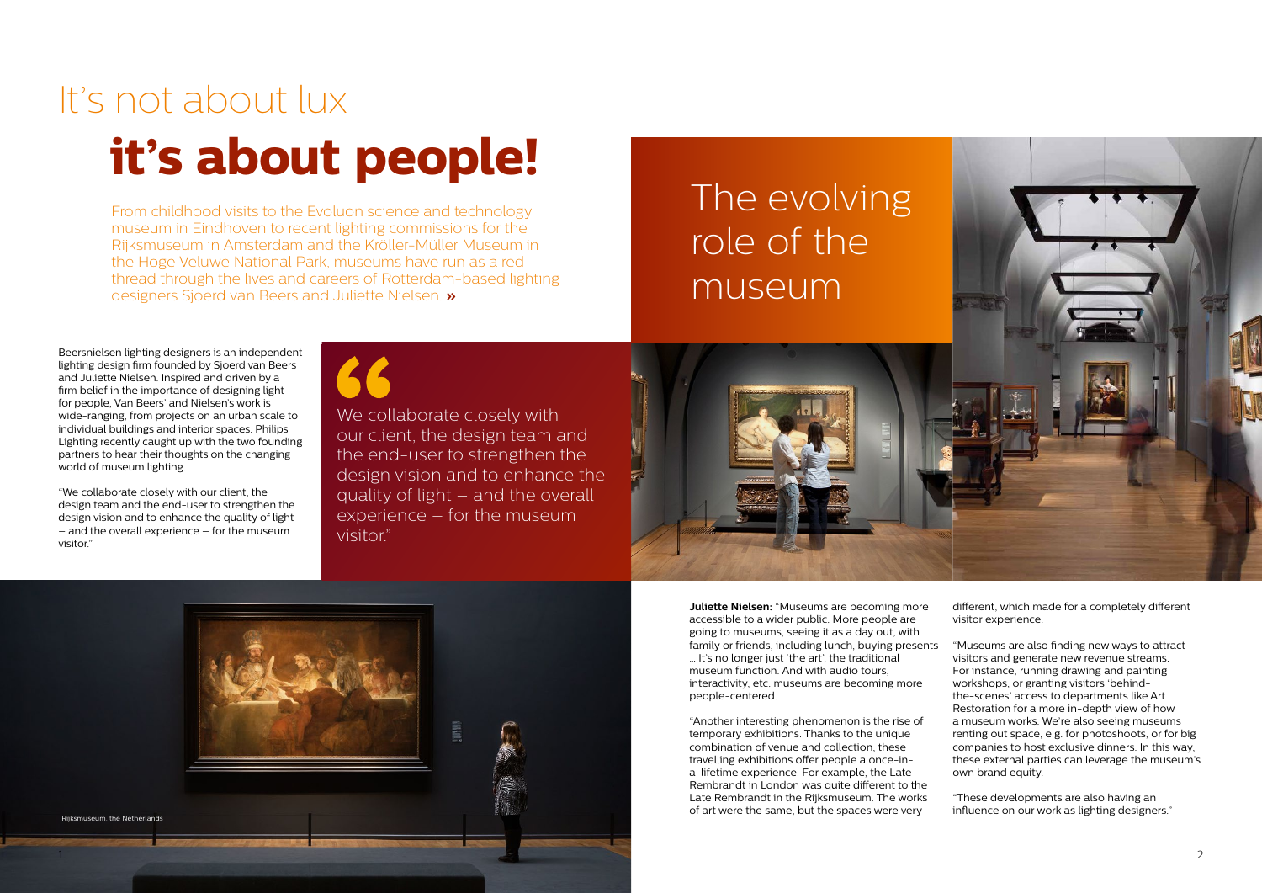# It's not about lux **it's about people!**

From childhood visits to the Evoluon science and technology museum in Eindhoven to recent lighting commissions for the Rijksmuseum in Amsterdam and the Kröller-Müller Museum in the Hoge Veluwe National Park, museums have run as a red thread through the lives and careers of Rotterdam-based lighting designers Sjoerd van Beers and Juliette Nielsen. **»**

Beersnielsen lighting designers is an independent lighting design firm founded by Sjoerd van Beers and Juliette Nielsen. Inspired and driven by a firm belief in the importance of designing light for people, Van Beers' and Nielsen's work is wide-ranging, from projects on an urban scale to individual buildings and interior spaces. Philips Lighting recently caught up with the two founding partners to hear their thoughts on the changing world of museum lighting.

> "Museums are also finding new ways to attract visitors and generate new revenue streams. For instance, running drawing and painting workshops, or granting visitors 'behindthe-scenes' access to departments like Art Restoration for a more in-depth view of how a museum works. We're also seeing museums renting out space, e.g. for photoshoots, or for big companies to host exclusive dinners. In this way, these external parties can leverage the museum's own brand equity.

"We collaborate closely with our client, the design team and the end-user to strengthen the design vision and to enhance the quality of light – and the overall experience – for the museum visitor."



**Juliette Nielsen:** "Museums are becoming more accessible to a wider public. More people are going to museums, seeing it as a day out, with family or friends, including lunch, buying presents … It's no longer just 'the art', the traditional museum function. And with audio tours interactivity, etc. museums are becoming more people-centered.

We collaborate closely with our client, the design team and the end-user to strengthen the design vision and to enhance the quality of light – and the overall experience – for the museum visitor."

> "Another interesting phenomenon is the rise of temporary exhibitions. Thanks to the unique combination of venue and collection, these travelling exhibitions offer people a once-ina-lifetime experience. For example, the Late Rembrandt in London was quite different to the Late Rembrandt in the Rijksmuseum. The works of art were the same, but the spaces were very

different, which made for a completely different visitor experience.

"These developments are also having an influence on our work as lighting designers."



role of the museum